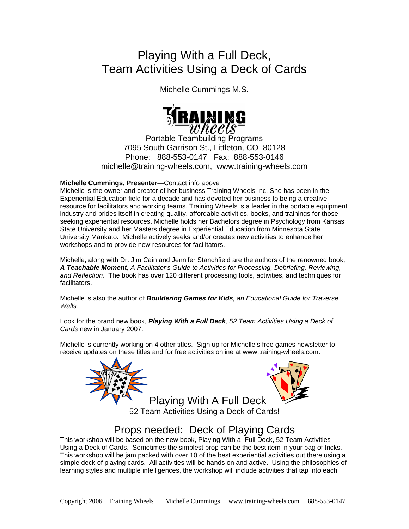# Playing With a Full Deck, Team Activities Using a Deck of Cards

Michelle Cummings M.S.



Portable Teambuilding Programs 7095 South Garrison St., Littleton, CO 80128 Phone: 888-553-0147 Fax: 888-553-0146 [michelle@training-wheels.com](mailto:info@training-wheels.clm), [www.training-wheels.com](http://www.training-wheels.com/)

### **Michelle Cummings, Presenter**—Contact info above

Michelle is the owner and creator of her business Training Wheels Inc. She has been in the Experiential Education field for a decade and has devoted her business to being a creative resource for facilitators and working teams. Training Wheels is a leader in the portable equipment industry and prides itself in creating quality, affordable activities, books, and trainings for those seeking experiential resources. Michelle holds her Bachelors degree in Psychology from Kansas State University and her Masters degree in Experiential Education from Minnesota State University Mankato. Michelle actively seeks and/or creates new activities to enhance her workshops and to provide new resources for facilitators.

Michelle, along with Dr. Jim Cain and Jennifer Stanchfield are the authors of the renowned book, *A Teachable Moment, A Facilitator's Guide to Activities for Processing, Debriefing, Reviewing, and Reflection*. The book has over 120 different processing tools, activities, and techniques for facilitators.

Michelle is also the author of *Bouldering Games for Kids, an Educational Guide for Traverse Walls.*

Look for the brand new book, *Playing With a Full Deck, 52 Team Activities Using a Deck of Cards* new in January 2007.

Michelle is currently working on 4 other titles. Sign up for Michelle's free games newsletter to receive updates on these titles and for free activities online at www.training-wheels.com.





Playing With A Full Deck 52 Team Activities Using a Deck of Cards!

## Props needed: Deck of Playing Cards

This workshop will be based on the new book, Playing With a Full Deck, 52 Team Activities Using a Deck of Cards. Sometimes the simplest prop can be the best item in your bag of tricks. This workshop will be jam packed with over 10 of the best experiential activities out there using a simple deck of playing cards. All activities will be hands on and active. Using the philosophies of learning styles and multiple intelligences, the workshop will include activities that tap into each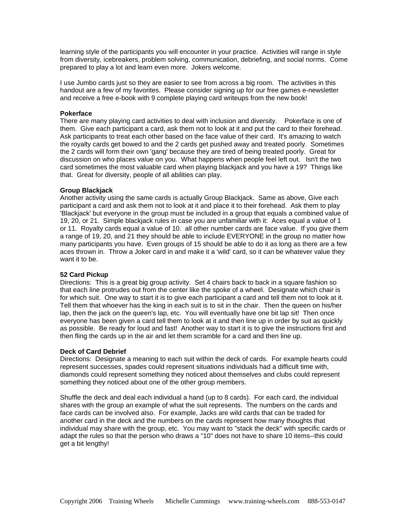learning style of the participants you will encounter in your practice. Activities will range in style from diversity, icebreakers, problem solving, communication, debriefing, and social norms. Come prepared to play a lot and learn even more. Jokers welcome.

I use Jumbo cards just so they are easier to see from across a big room. The activities in this handout are a few of my favorites. Please consider signing up for our free games e-newsletter and receive a free e-book with 9 complete playing card writeups from the new book!

#### **Pokerface**

There are many playing card activities to deal with inclusion and diversity. Pokerface is one of them. Give each participant a card, ask them not to look at it and put the card to their forehead. Ask participants to treat each other based on the face value of their card. It's amazing to watch the royalty cards get bowed to and the 2 cards get pushed away and treated poorly. Sometimes the 2 cards will form their own 'gang' because they are tired of being treated poorly. Great for discussion on who places value on you. What happens when people feel left out. Isn't the two card sometimes the most valuable card when playing blackjack and you have a 19? Things like that. Great for diversity, people of all abilities can play.

#### **Group Blackjack**

Another activity using the same cards is actually Group Blackjack. Same as above, Give each participant a card and ask them not to look at it and place it to their forehead. Ask them to play 'Blackjack' but everyone in the group must be included in a group that equals a combined value of 19, 20, or 21. Simple blackjack rules in case you are unfamiliar with it: Aces equal a value of 1 or 11. Royalty cards equal a value of 10. all other number cards are face value. If you give them a range of 19, 20, and 21 they should be able to include EVERYONE in the group no matter how many participants you have. Even groups of 15 should be able to do it as long as there are a few aces thrown in. Throw a Joker card in and make it a 'wild' card, so it can be whatever value they want it to be.

#### **52 Card Pickup**

Directions: This is a great big group activity. Set 4 chairs back to back in a square fashion so that each line protrudes out from the center like the spoke of a wheel. Designate which chair is for which suit. One way to start it is to give each participant a card and tell them not to look at it. Tell them that whoever has the king in each suit is to sit in the chair. Then the queen on his/her lap, then the jack on the queen's lap, etc. You will eventually have one bit lap sit! Then once everyone has been given a card tell them to look at it and then line up in order by suit as quickly as possible. Be ready for loud and fast! Another way to start it is to give the instructions first and then fling the cards up in the air and let them scramble for a card and then line up.

#### **Deck of Card Debrief**

Directions: Designate a meaning to each suit within the deck of cards. For example hearts could represent successes, spades could represent situations individuals had a difficult time with, diamonds could represent something they noticed about themselves and clubs could represent something they noticed about one of the other group members.

Shuffle the deck and deal each individual a hand (up to 8 cards). For each card, the individual shares with the group an example of what the suit represents. The numbers on the cards and face cards can be involved also. For example, Jacks are wild cards that can be traded for another card in the deck and the numbers on the cards represent how many thoughts that individual may share with the group, etc. You may want to "stack the deck" with specific cards or adapt the rules so that the person who draws a "10" does not have to share 10 items--this could get a bit lengthy!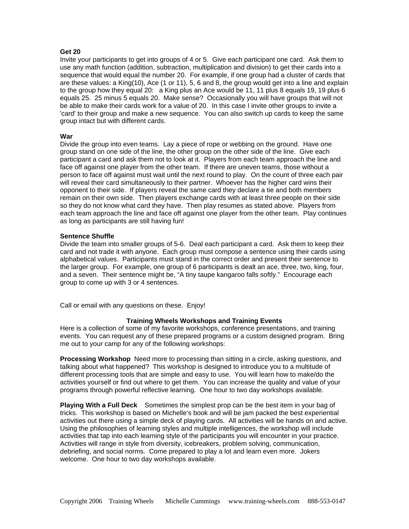#### **Get 20**

Invite your participants to get into groups of 4 or 5. Give each participant one card. Ask them to use any math function (addition, subtraction, multiplication and division) to get their cards into a sequence that would equal the number 20. For example, if one group had a cluster of cards that are these values: a King(10), Ace (1 or 11), 5, 6 and 8, the group would get into a line and explain to the group how they equal 20: a King plus an Ace would be 11, 11 plus 8 equals 19, 19 plus 6 equals 25. 25 minus 5 equals 20. Make sense? Occasionally you will have groups that will not be able to make their cards work for a value of 20. In this case I invite other groups to invite a 'card' to their group and make a new sequence. You can also switch up cards to keep the same group intact but with different cards.

#### **War**

Divide the group into even teams. Lay a piece of rope or webbing on the ground. Have one group stand on one side of the line, the other group on the other side of the line. Give each participant a card and ask them not to look at it. Players from each team approach the line and face off against one player from the other team. If there are uneven teams, those without a person to face off against must wait until the next round to play. On the count of three each pair will reveal their card simultaneously to their partner. Whoever has the higher card wins their opponent to their side. If players reveal the same card they declare a tie and both members remain on their own side. Then players exchange cards with at least three people on their side so they do not know what card they have. Then play resumes as stated above. Players from each team approach the line and face off against one player from the other team. Play continues as long as participants are still having fun!

#### **Sentence Shuffle**

Divide the team into smaller groups of 5-6. Deal each participant a card. Ask them to keep their card and not trade it with anyone. Each group must compose a sentence using their cards using alphabetical values. Participants must stand in the correct order and present their sentence to the larger group. For example, one group of 6 participants is dealt an ace, three, two, king, four, and a seven. Their sentence might be, "A tiny taupe kangaroo falls softly." Encourage each group to come up with 3 or 4 sentences.

Call or email with any questions on these. Enjoy!

#### **Training Wheels Workshops and Training Events**

Here is a collection of some of my favorite workshops, conference presentations, and training events. You can request any of these prepared programs or a custom designed program. Bring me out to your camp for any of the following workshops:

**Processing Workshop** Need more to processing than sitting in a circle, asking questions, and talking about what happened? This workshop is designed to introduce you to a multitude of different processing tools that are simple and easy to use. You will learn how to make/do the activities yourself or find out where to get them. You can increase the quality and value of your programs through powerful reflective learning. One hour to two day workshops available.

**Playing With a Full Deck** Sometimes the simplest prop can be the best item in your bag of tricks. This workshop is based on Michelle's book and will be jam packed the best experiential activities out there using a simple deck of playing cards. All activities will be hands on and active. Using the philosophies of learning styles and multiple intelligences, the workshop will include activities that tap into each learning style of the participants you will encounter in your practice. Activities will range in style from diversity, icebreakers, problem solving, communication, debriefing, and social norms. Come prepared to play a lot and learn even more. Jokers welcome. One hour to two day workshops available.